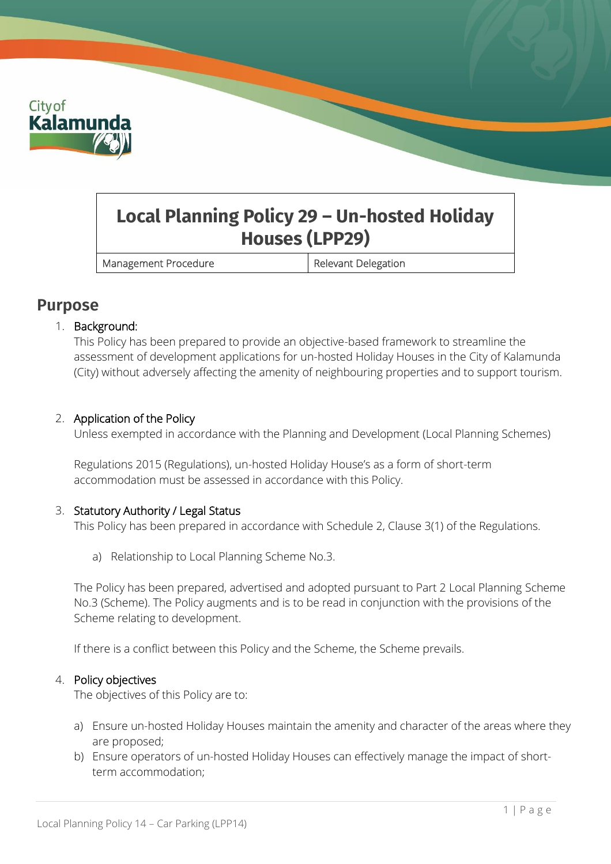

# **Local Planning Policy 29 – Un-hosted Holiday Houses (LPP29)**

Management Procedure **Relevant Delegation** 

### **Purpose**

#### 1. Background:

This Policy has been prepared to provide an objective-based framework to streamline the assessment of development applications for un-hosted Holiday Houses in the City of Kalamunda (City) without adversely affecting the amenity of neighbouring properties and to support tourism.

#### 2. Application of the Policy

Unless exempted in accordance with the Planning and Development (Local Planning Schemes)

Regulations 2015 (Regulations), un-hosted Holiday House's as a form of short-term accommodation must be assessed in accordance with this Policy.

#### 3. Statutory Authority / Legal Status

This Policy has been prepared in accordance with Schedule 2, Clause 3(1) of the Regulations.

a) Relationship to Local Planning Scheme No.3.

The Policy has been prepared, advertised and adopted pursuant to Part 2 Local Planning Scheme No.3 (Scheme). The Policy augments and is to be read in conjunction with the provisions of the Scheme relating to development.

If there is a conflict between this Policy and the Scheme, the Scheme prevails.

#### 4. Policy objectives

The objectives of this Policy are to:

- a) Ensure un-hosted Holiday Houses maintain the amenity and character of the areas where they are proposed;
- b) Ensure operators of un-hosted Holiday Houses can effectively manage the impact of shortterm accommodation;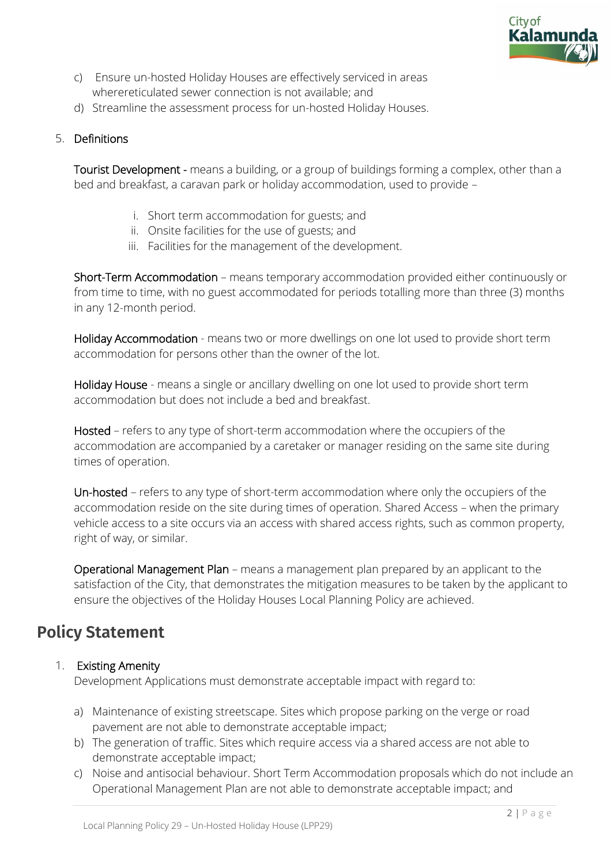

- c) Ensure un-hosted Holiday Houses are effectively serviced in areas wherereticulated sewer connection is not available; and
- d) Streamline the assessment process for un-hosted Holiday Houses.

#### 5. Definitions

Tourist Development - means a building, or a group of buildings forming a complex, other than a bed and breakfast, a caravan park or holiday accommodation, used to provide –

- i. Short term accommodation for guests; and
- ii. Onsite facilities for the use of guests; and
- iii. Facilities for the management of the development.

Short-Term Accommodation – means temporary accommodation provided either continuously or from time to time, with no guest accommodated for periods totalling more than three (3) months in any 12-month period.

Holiday Accommodation - means two or more dwellings on one lot used to provide short term accommodation for persons other than the owner of the lot.

Holiday House - means a single or ancillary dwelling on one lot used to provide short term accommodation but does not include a bed and breakfast.

Hosted – refers to any type of short-term accommodation where the occupiers of the accommodation are accompanied by a caretaker or manager residing on the same site during times of operation.

Un-hosted – refers to any type of short-term accommodation where only the occupiers of the accommodation reside on the site during times of operation. Shared Access – when the primary vehicle access to a site occurs via an access with shared access rights, such as common property, right of way, or similar.

Operational Management Plan – means a management plan prepared by an applicant to the satisfaction of the City, that demonstrates the mitigation measures to be taken by the applicant to ensure the objectives of the Holiday Houses Local Planning Policy are achieved.

## **Policy Statement**

#### 1. Existing Amenity

Development Applications must demonstrate acceptable impact with regard to:

- a) Maintenance of existing streetscape. Sites which propose parking on the verge or road pavement are not able to demonstrate acceptable impact;
- b) The generation of traffic. Sites which require access via a shared access are not able to demonstrate acceptable impact;
- c) Noise and antisocial behaviour. Short Term Accommodation proposals which do not include an Operational Management Plan are not able to demonstrate acceptable impact; and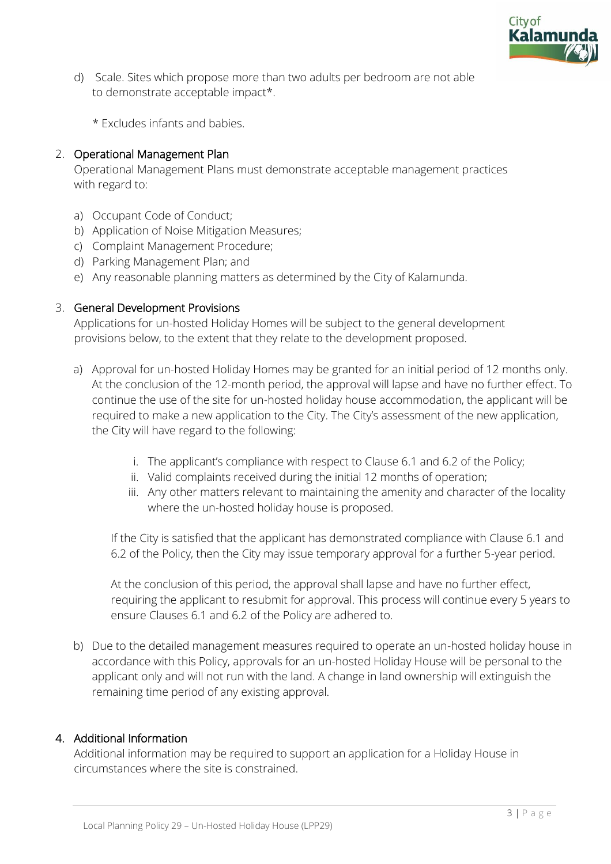

d) Scale. Sites which propose more than two adults per bedroom are not able to demonstrate acceptable impact\*.

\* Excludes infants and babies.

#### 2. Operational Management Plan

Operational Management Plans must demonstrate acceptable management practices with regard to:

- a) Occupant Code of Conduct;
- b) Application of Noise Mitigation Measures;
- c) Complaint Management Procedure;
- d) Parking Management Plan; and
- e) Any reasonable planning matters as determined by the City of Kalamunda.

#### 3. General Development Provisions

Applications for un-hosted Holiday Homes will be subject to the general development provisions below, to the extent that they relate to the development proposed.

- a) Approval for un-hosted Holiday Homes may be granted for an initial period of 12 months only. At the conclusion of the 12-month period, the approval will lapse and have no further effect. To continue the use of the site for un-hosted holiday house accommodation, the applicant will be required to make a new application to the City. The City's assessment of the new application, the City will have regard to the following:
	- i. The applicant's compliance with respect to Clause 6.1 and 6.2 of the Policy;
	- ii. Valid complaints received during the initial 12 months of operation;
	- iii. Any other matters relevant to maintaining the amenity and character of the locality where the un-hosted holiday house is proposed.

If the City is satisfied that the applicant has demonstrated compliance with Clause 6.1 and 6.2 of the Policy, then the City may issue temporary approval for a further 5-year period.

At the conclusion of this period, the approval shall lapse and have no further effect, requiring the applicant to resubmit for approval. This process will continue every 5 years to ensure Clauses 6.1 and 6.2 of the Policy are adhered to.

b) Due to the detailed management measures required to operate an un-hosted holiday house in accordance with this Policy, approvals for an un-hosted Holiday House will be personal to the applicant only and will not run with the land. A change in land ownership will extinguish the remaining time period of any existing approval.

#### 4. Additional Information

Additional information may be required to support an application for a Holiday House in circumstances where the site is constrained.